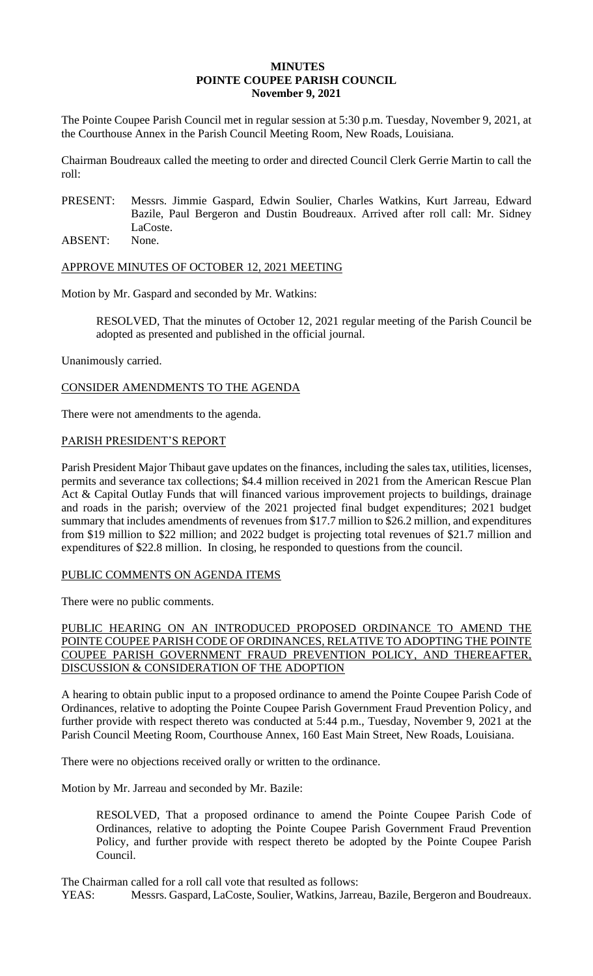## **MINUTES POINTE COUPEE PARISH COUNCIL November 9, 2021**

The Pointe Coupee Parish Council met in regular session at 5:30 p.m. Tuesday, November 9, 2021, at the Courthouse Annex in the Parish Council Meeting Room, New Roads, Louisiana.

Chairman Boudreaux called the meeting to order and directed Council Clerk Gerrie Martin to call the roll:

- PRESENT: Messrs. Jimmie Gaspard, Edwin Soulier, Charles Watkins, Kurt Jarreau, Edward Bazile, Paul Bergeron and Dustin Boudreaux. Arrived after roll call: Mr. Sidney LaCoste.
- ABSENT: None.

# APPROVE MINUTES OF OCTOBER 12, 2021 MEETING

Motion by Mr. Gaspard and seconded by Mr. Watkins:

RESOLVED, That the minutes of October 12, 2021 regular meeting of the Parish Council be adopted as presented and published in the official journal.

Unanimously carried.

# CONSIDER AMENDMENTS TO THE AGENDA

There were not amendments to the agenda.

## PARISH PRESIDENT'S REPORT

Parish President Major Thibaut gave updates on the finances, including the sales tax, utilities, licenses, permits and severance tax collections; \$4.4 million received in 2021 from the American Rescue Plan Act & Capital Outlay Funds that will financed various improvement projects to buildings, drainage and roads in the parish; overview of the 2021 projected final budget expenditures; 2021 budget summary that includes amendments of revenues from \$17.7 million to \$26.2 million, and expenditures from \$19 million to \$22 million; and 2022 budget is projecting total revenues of \$21.7 million and expenditures of \$22.8 million. In closing, he responded to questions from the council.

## PUBLIC COMMENTS ON AGENDA ITEMS

There were no public comments.

PUBLIC HEARING ON AN INTRODUCED PROPOSED ORDINANCE TO AMEND THE POINTE COUPEE PARISH CODE OF ORDINANCES, RELATIVE TO ADOPTING THE POINTE COUPEE PARISH GOVERNMENT FRAUD PREVENTION POLICY, AND THEREAFTER, DISCUSSION & CONSIDERATION OF THE ADOPTION

A hearing to obtain public input to a proposed ordinance to amend the Pointe Coupee Parish Code of Ordinances, relative to adopting the Pointe Coupee Parish Government Fraud Prevention Policy, and further provide with respect thereto was conducted at 5:44 p.m., Tuesday, November 9, 2021 at the Parish Council Meeting Room, Courthouse Annex, 160 East Main Street, New Roads, Louisiana.

There were no objections received orally or written to the ordinance.

Motion by Mr. Jarreau and seconded by Mr. Bazile:

RESOLVED, That a proposed ordinance to amend the Pointe Coupee Parish Code of Ordinances, relative to adopting the Pointe Coupee Parish Government Fraud Prevention Policy, and further provide with respect thereto be adopted by the Pointe Coupee Parish Council.

The Chairman called for a roll call vote that resulted as follows:

YEAS: Messrs. Gaspard, LaCoste, Soulier, Watkins, Jarreau, Bazile, Bergeron and Boudreaux.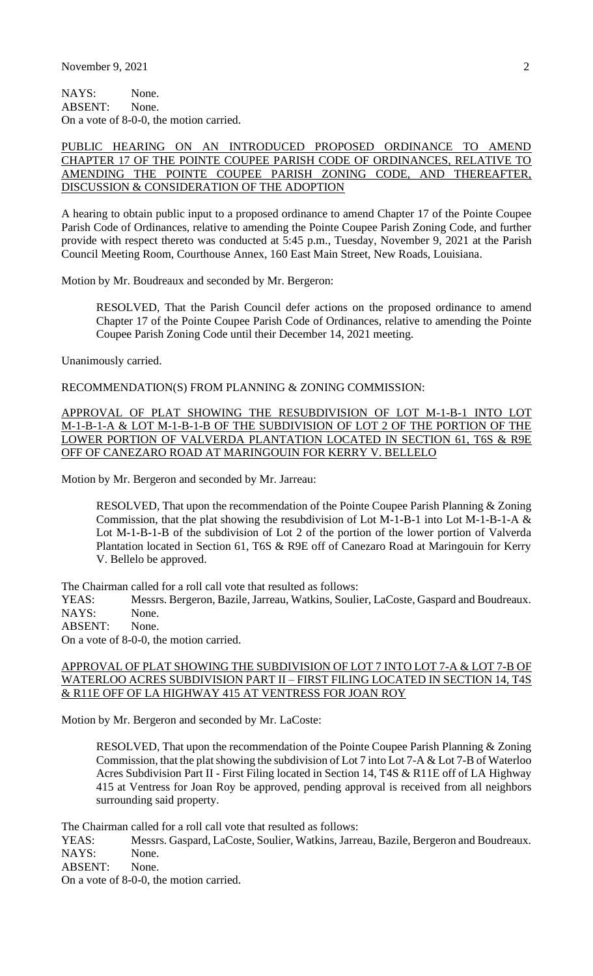NAYS: None. ABSENT: None. On a vote of 8-0-0, the motion carried.

#### PUBLIC HEARING ON AN INTRODUCED PROPOSED ORDINANCE TO AMEND CHAPTER 17 OF THE POINTE COUPEE PARISH CODE OF ORDINANCES, RELATIVE TO AMENDING THE POINTE COUPEE PARISH ZONING CODE, AND THEREAFTER, DISCUSSION & CONSIDERATION OF THE ADOPTION

A hearing to obtain public input to a proposed ordinance to amend Chapter 17 of the Pointe Coupee Parish Code of Ordinances, relative to amending the Pointe Coupee Parish Zoning Code, and further provide with respect thereto was conducted at 5:45 p.m., Tuesday, November 9, 2021 at the Parish Council Meeting Room, Courthouse Annex, 160 East Main Street, New Roads, Louisiana.

Motion by Mr. Boudreaux and seconded by Mr. Bergeron:

RESOLVED, That the Parish Council defer actions on the proposed ordinance to amend Chapter 17 of the Pointe Coupee Parish Code of Ordinances, relative to amending the Pointe Coupee Parish Zoning Code until their December 14, 2021 meeting.

Unanimously carried.

RECOMMENDATION(S) FROM PLANNING & ZONING COMMISSION:

APPROVAL OF PLAT SHOWING THE RESUBDIVISION OF LOT M-1-B-1 INTO LOT M-1-B-1-A & LOT M-1-B-1-B OF THE SUBDIVISION OF LOT 2 OF THE PORTION OF THE LOWER PORTION OF VALVERDA PLANTATION LOCATED IN SECTION 61, T6S & R9E OFF OF CANEZARO ROAD AT MARINGOUIN FOR KERRY V. BELLELO

Motion by Mr. Bergeron and seconded by Mr. Jarreau:

RESOLVED, That upon the recommendation of the Pointe Coupee Parish Planning & Zoning Commission, that the plat showing the resubdivision of Lot M-1-B-1 into Lot M-1-B-1-A & Lot M-1-B-1-B of the subdivision of Lot 2 of the portion of the lower portion of Valverda Plantation located in Section 61, T6S & R9E off of Canezaro Road at Maringouin for Kerry V. Bellelo be approved.

The Chairman called for a roll call vote that resulted as follows:

YEAS: Messrs. Bergeron, Bazile, Jarreau, Watkins, Soulier, LaCoste, Gaspard and Boudreaux. NAYS: None.

ABSENT: None.

On a vote of 8-0-0, the motion carried.

#### APPROVAL OF PLAT SHOWING THE SUBDIVISION OF LOT 7 INTO LOT 7-A & LOT 7-B OF WATERLOO ACRES SUBDIVISION PART II – FIRST FILING LOCATED IN SECTION 14, T4S & R11E OFF OF LA HIGHWAY 415 AT VENTRESS FOR JOAN ROY

Motion by Mr. Bergeron and seconded by Mr. LaCoste:

RESOLVED, That upon the recommendation of the Pointe Coupee Parish Planning & Zoning Commission, that the plat showing the subdivision of Lot 7 into Lot 7-A & Lot 7-B of Waterloo Acres Subdivision Part II - First Filing located in Section 14, T4S & R11E off of LA Highway 415 at Ventress for Joan Roy be approved, pending approval is received from all neighbors surrounding said property.

The Chairman called for a roll call vote that resulted as follows:

YEAS: Messrs. Gaspard, LaCoste, Soulier, Watkins, Jarreau, Bazile, Bergeron and Boudreaux. NAYS: None.

ABSENT: None.

On a vote of 8-0-0, the motion carried.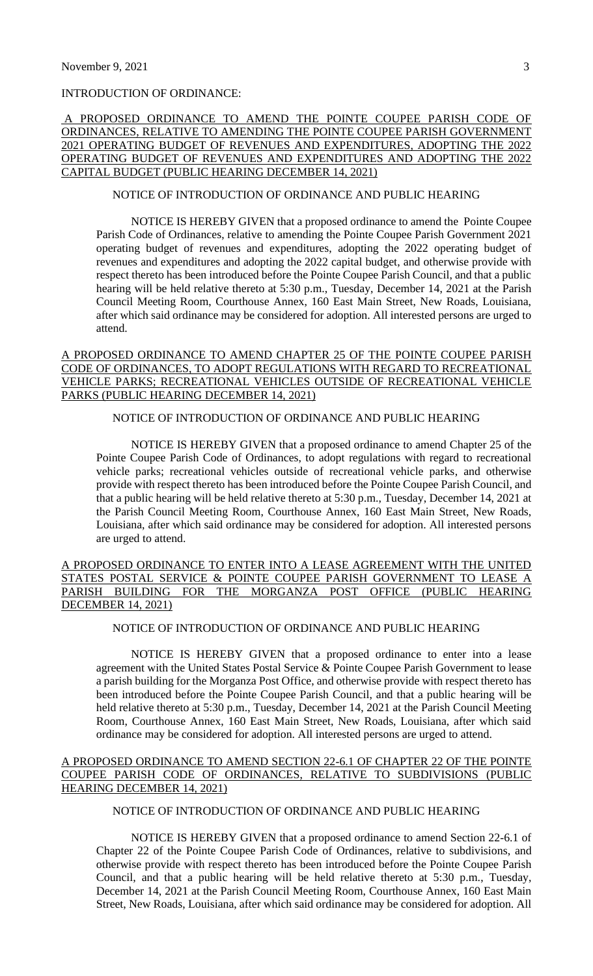# INTRODUCTION OF ORDINANCE:

#### A PROPOSED ORDINANCE TO AMEND THE POINTE COUPEE PARISH CODE OF ORDINANCES, RELATIVE TO AMENDING THE POINTE COUPEE PARISH GOVERNMENT 2021 OPERATING BUDGET OF REVENUES AND EXPENDITURES, ADOPTING THE 2022 OPERATING BUDGET OF REVENUES AND EXPENDITURES AND ADOPTING THE 2022 CAPITAL BUDGET (PUBLIC HEARING DECEMBER 14, 2021)

#### NOTICE OF INTRODUCTION OF ORDINANCE AND PUBLIC HEARING

NOTICE IS HEREBY GIVEN that a proposed ordinance to amend the Pointe Coupee Parish Code of Ordinances, relative to amending the Pointe Coupee Parish Government 2021 operating budget of revenues and expenditures, adopting the 2022 operating budget of revenues and expenditures and adopting the 2022 capital budget, and otherwise provide with respect thereto has been introduced before the Pointe Coupee Parish Council, and that a public hearing will be held relative thereto at 5:30 p.m., Tuesday, December 14, 2021 at the Parish Council Meeting Room, Courthouse Annex, 160 East Main Street, New Roads, Louisiana, after which said ordinance may be considered for adoption. All interested persons are urged to attend.

## A PROPOSED ORDINANCE TO AMEND CHAPTER 25 OF THE POINTE COUPEE PARISH CODE OF ORDINANCES, TO ADOPT REGULATIONS WITH REGARD TO RECREATIONAL VEHICLE PARKS; RECREATIONAL VEHICLES OUTSIDE OF RECREATIONAL VEHICLE PARKS (PUBLIC HEARING DECEMBER 14, 2021)

## NOTICE OF INTRODUCTION OF ORDINANCE AND PUBLIC HEARING

NOTICE IS HEREBY GIVEN that a proposed ordinance to amend Chapter 25 of the Pointe Coupee Parish Code of Ordinances, to adopt regulations with regard to recreational vehicle parks; recreational vehicles outside of recreational vehicle parks, and otherwise provide with respect thereto has been introduced before the Pointe Coupee Parish Council, and that a public hearing will be held relative thereto at 5:30 p.m., Tuesday, December 14, 2021 at the Parish Council Meeting Room, Courthouse Annex, 160 East Main Street, New Roads, Louisiana, after which said ordinance may be considered for adoption. All interested persons are urged to attend.

## A PROPOSED ORDINANCE TO ENTER INTO A LEASE AGREEMENT WITH THE UNITED STATES POSTAL SERVICE & POINTE COUPEE PARISH GOVERNMENT TO LEASE A PARISH BUILDING FOR THE MORGANZA POST OFFICE (PUBLIC HEARING DECEMBER 14, 2021)

# NOTICE OF INTRODUCTION OF ORDINANCE AND PUBLIC HEARING

NOTICE IS HEREBY GIVEN that a proposed ordinance to enter into a lease agreement with the United States Postal Service & Pointe Coupee Parish Government to lease a parish building for the Morganza Post Office, and otherwise provide with respect thereto has been introduced before the Pointe Coupee Parish Council, and that a public hearing will be held relative thereto at 5:30 p.m., Tuesday, December 14, 2021 at the Parish Council Meeting Room, Courthouse Annex, 160 East Main Street, New Roads, Louisiana, after which said ordinance may be considered for adoption. All interested persons are urged to attend.

#### A PROPOSED ORDINANCE TO AMEND SECTION 22-6.1 OF CHAPTER 22 OF THE POINTE COUPEE PARISH CODE OF ORDINANCES, RELATIVE TO SUBDIVISIONS (PUBLIC HEARING DECEMBER 14, 2021)

# NOTICE OF INTRODUCTION OF ORDINANCE AND PUBLIC HEARING

NOTICE IS HEREBY GIVEN that a proposed ordinance to amend Section 22-6.1 of Chapter 22 of the Pointe Coupee Parish Code of Ordinances, relative to subdivisions, and otherwise provide with respect thereto has been introduced before the Pointe Coupee Parish Council, and that a public hearing will be held relative thereto at 5:30 p.m., Tuesday, December 14, 2021 at the Parish Council Meeting Room, Courthouse Annex, 160 East Main Street, New Roads, Louisiana, after which said ordinance may be considered for adoption. All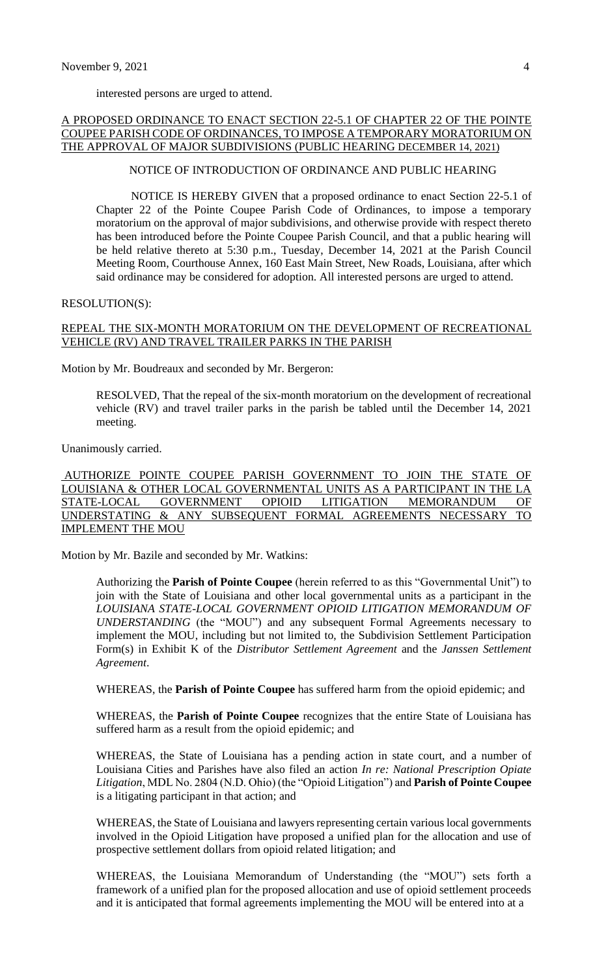interested persons are urged to attend.

### A PROPOSED ORDINANCE TO ENACT SECTION 22-5.1 OF CHAPTER 22 OF THE POINTE COUPEE PARISH CODE OF ORDINANCES, TO IMPOSE A TEMPORARY MORATORIUM ON THE APPROVAL OF MAJOR SUBDIVISIONS (PUBLIC HEARING DECEMBER 14, 2021)

#### NOTICE OF INTRODUCTION OF ORDINANCE AND PUBLIC HEARING

NOTICE IS HEREBY GIVEN that a proposed ordinance to enact Section 22-5.1 of Chapter 22 of the Pointe Coupee Parish Code of Ordinances, to impose a temporary moratorium on the approval of major subdivisions, and otherwise provide with respect thereto has been introduced before the Pointe Coupee Parish Council, and that a public hearing will be held relative thereto at 5:30 p.m., Tuesday, December 14, 2021 at the Parish Council Meeting Room, Courthouse Annex, 160 East Main Street, New Roads, Louisiana, after which said ordinance may be considered for adoption. All interested persons are urged to attend.

#### RESOLUTION(S):

#### REPEAL THE SIX-MONTH MORATORIUM ON THE DEVELOPMENT OF RECREATIONAL VEHICLE (RV) AND TRAVEL TRAILER PARKS IN THE PARISH

Motion by Mr. Boudreaux and seconded by Mr. Bergeron:

RESOLVED, That the repeal of the six-month moratorium on the development of recreational vehicle (RV) and travel trailer parks in the parish be tabled until the December 14, 2021 meeting.

Unanimously carried.

AUTHORIZE POINTE COUPEE PARISH GOVERNMENT TO JOIN THE STATE OF LOUISIANA & OTHER LOCAL GOVERNMENTAL UNITS AS A PARTICIPANT IN THE LA STATE-LOCAL GOVERNMENT OPIOID LITIGATION MEMORANDUM OF UNDERSTATING & ANY SUBSEQUENT FORMAL AGREEMENTS NECESSARY TO IMPLEMENT THE MOU

Motion by Mr. Bazile and seconded by Mr. Watkins:

Authorizing the **Parish of Pointe Coupee** (herein referred to as this "Governmental Unit") to join with the State of Louisiana and other local governmental units as a participant in the *LOUISIANA STATE-LOCAL GOVERNMENT OPIOID LITIGATION MEMORANDUM OF UNDERSTANDING* (the "MOU") and any subsequent Formal Agreements necessary to implement the MOU, including but not limited to, the Subdivision Settlement Participation Form(s) in Exhibit K of the *Distributor Settlement Agreement* and the *Janssen Settlement Agreement*.

WHEREAS, the **Parish of Pointe Coupee** has suffered harm from the opioid epidemic; and

WHEREAS, the **Parish of Pointe Coupee** recognizes that the entire State of Louisiana has suffered harm as a result from the opioid epidemic; and

WHEREAS, the State of Louisiana has a pending action in state court, and a number of Louisiana Cities and Parishes have also filed an action *In re: National Prescription Opiate Litigation*, MDL No. 2804 (N.D. Ohio) (the "Opioid Litigation") and **Parish of Pointe Coupee** is a litigating participant in that action; and

WHEREAS, the State of Louisiana and lawyers representing certain various local governments involved in the Opioid Litigation have proposed a unified plan for the allocation and use of prospective settlement dollars from opioid related litigation; and

WHEREAS, the Louisiana Memorandum of Understanding (the "MOU") sets forth a framework of a unified plan for the proposed allocation and use of opioid settlement proceeds and it is anticipated that formal agreements implementing the MOU will be entered into at a